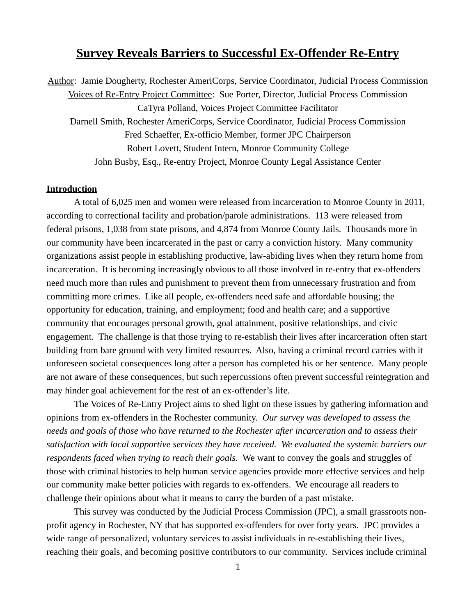# **Survey Reveals Barriers to Successful Ex-Offender Re-Entry**

Author: Jamie Dougherty, Rochester AmeriCorps, Service Coordinator, Judicial Process Commission Voices of Re-Entry Project Committee: Sue Porter, Director, Judicial Process Commission CaTyra Polland, Voices Project Committee Facilitator Darnell Smith, Rochester AmeriCorps, Service Coordinator, Judicial Process Commission Fred Schaeffer, Ex-officio Member, former JPC Chairperson Robert Lovett, Student Intern, Monroe Community College John Busby, Esq., Re-entry Project, Monroe County Legal Assistance Center

## **Introduction**

A total of 6,025 men and women were released from incarceration to Monroe County in 2011, according to correctional facility and probation/parole administrations. 113 were released from federal prisons, 1,038 from state prisons, and 4,874 from Monroe County Jails. Thousands more in our community have been incarcerated in the past or carry a conviction history. Many community organizations assist people in establishing productive, law-abiding lives when they return home from incarceration. It is becoming increasingly obvious to all those involved in re-entry that ex-offenders need much more than rules and punishment to prevent them from unnecessary frustration and from committing more crimes. Like all people, ex-offenders need safe and affordable housing; the opportunity for education, training, and employment; food and health care; and a supportive community that encourages personal growth, goal attainment, positive relationships, and civic engagement. The challenge is that those trying to re-establish their lives after incarceration often start building from bare ground with very limited resources. Also, having a criminal record carries with it unforeseen societal consequences long after a person has completed his or her sentence. Many people are not aware of these consequences, but such repercussions often prevent successful reintegration and may hinder goal achievement for the rest of an ex-offender's life.

The Voices of Re-Entry Project aims to shed light on these issues by gathering information and opinions from ex-offenders in the Rochester community. *Our survey was developed to assess the needs and goals of those who have returned to the Rochester after incarceration and to assess their satisfaction with local supportive services they have received. We evaluated the systemic barriers our respondents faced when trying to reach their goals.* We want to convey the goals and struggles of those with criminal histories to help human service agencies provide more effective services and help our community make better policies with regards to ex-offenders. We encourage all readers to challenge their opinions about what it means to carry the burden of a past mistake.

This survey was conducted by the Judicial Process Commission (JPC), a small grassroots nonprofit agency in Rochester, NY that has supported ex-offenders for over forty years. JPC provides a wide range of personalized, voluntary services to assist individuals in re-establishing their lives, reaching their goals, and becoming positive contributors to our community. Services include criminal

1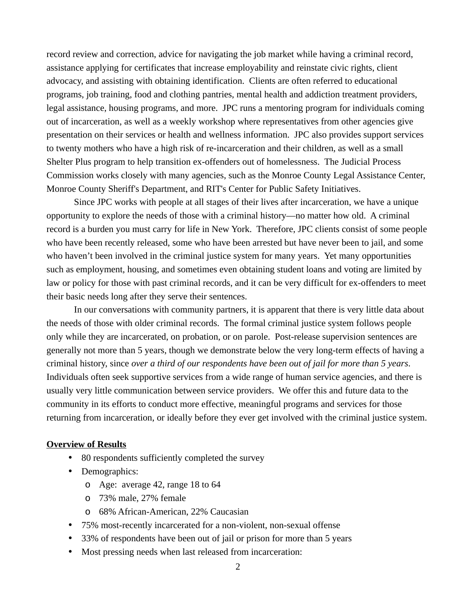record review and correction, advice for navigating the job market while having a criminal record, assistance applying for certificates that increase employability and reinstate civic rights, client advocacy, and assisting with obtaining identification. Clients are often referred to educational programs, job training, food and clothing pantries, mental health and addiction treatment providers, legal assistance, housing programs, and more. JPC runs a mentoring program for individuals coming out of incarceration, as well as a weekly workshop where representatives from other agencies give presentation on their services or health and wellness information. JPC also provides support services to twenty mothers who have a high risk of re-incarceration and their children, as well as a small Shelter Plus program to help transition ex-offenders out of homelessness. The Judicial Process Commission works closely with many agencies, such as the Monroe County Legal Assistance Center, Monroe County Sheriff's Department, and RIT's Center for Public Safety Initiatives.

Since JPC works with people at all stages of their lives after incarceration, we have a unique opportunity to explore the needs of those with a criminal history—no matter how old. A criminal record is a burden you must carry for life in New York. Therefore, JPC clients consist of some people who have been recently released, some who have been arrested but have never been to jail, and some who haven't been involved in the criminal justice system for many years. Yet many opportunities such as employment, housing, and sometimes even obtaining student loans and voting are limited by law or policy for those with past criminal records, and it can be very difficult for ex-offenders to meet their basic needs long after they serve their sentences.

In our conversations with community partners, it is apparent that there is very little data about the needs of those with older criminal records. The formal criminal justice system follows people only while they are incarcerated, on probation, or on parole. Post-release supervision sentences are generally not more than 5 years, though we demonstrate below the very long-term effects of having a criminal history, since *over a third of our respondents have been out of jail for more than 5 years*. Individuals often seek supportive services from a wide range of human service agencies, and there is usually very little communication between service providers. We offer this and future data to the community in its efforts to conduct more effective, meaningful programs and services for those returning from incarceration, or ideally before they ever get involved with the criminal justice system.

### **Overview of Results**

- 80 respondents sufficiently completed the survey
- Demographics:
	- o Age: average 42, range 18 to 64
	- o 73% male, 27% female
	- o 68% African-American, 22% Caucasian
- 75% most-recently incarcerated for a non-violent, non-sexual offense
- 33% of respondents have been out of jail or prison for more than 5 years
- Most pressing needs when last released from incarceration: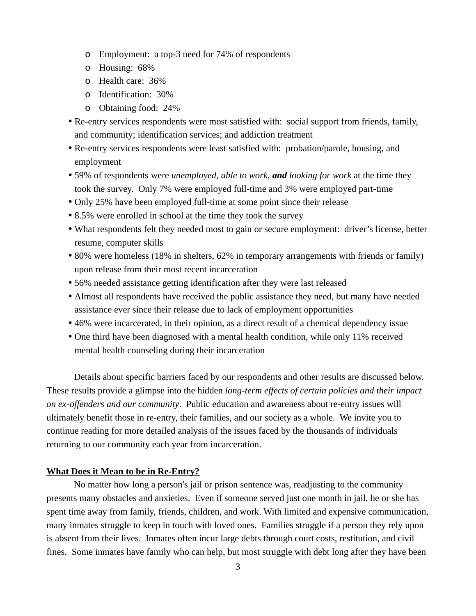- o Employment: a top-3 need for 74% of respondents
- o Housing: 68%
- o Health care: 36%
- o Identification: 30%
- o Obtaining food: 24%
- Re-entry services respondents were most satisfied with: social support from friends, family, and community; identification services; and addiction treatment
- Re-entry services respondents were least satisfied with: probation/parole, housing, and employment
- 59% of respondents were *unemployed, able to work, and looking for work* at the time they took the survey. Only 7% were employed full-time and 3% were employed part-time
- Only 25% have been employed full-time at some point since their release
- 8.5% were enrolled in school at the time they took the survey
- What respondents felt they needed most to gain or secure employment: driver's license, better resume, computer skills
- 80% were homeless (18% in shelters, 62% in temporary arrangements with friends or family) upon release from their most recent incarceration
- 56% needed assistance getting identification after they were last released
- Almost all respondents have received the public assistance they need, but many have needed assistance ever since their release due to lack of employment opportunities
- 46% were incarcerated, in their opinion, as a direct result of a chemical dependency issue
- One third have been diagnosed with a mental health condition, while only 11% received mental health counseling during their incarceration

Details about specific barriers faced by our respondents and other results are discussed below. These results provide a glimpse into the hidden *long-term effects of certain policies and their impact on ex-offenders and our community*. Public education and awareness about re-entry issues will ultimately benefit those in re-entry, their families, and our society as a whole. We invite you to continue reading for more detailed analysis of the issues faced by the thousands of individuals returning to our community each year from incarceration.

# **What Does it Mean to be in Re-Entry?**

No matter how long a person's jail or prison sentence was, readjusting to the community presents many obstacles and anxieties. Even if someone served just one month in jail, he or she has spent time away from family, friends, children, and work. With limited and expensive communication, many inmates struggle to keep in touch with loved ones. Families struggle if a person they rely upon is absent from their lives. Inmates often incur large debts through court costs, restitution, and civil fines. Some inmates have family who can help, but most struggle with debt long after they have been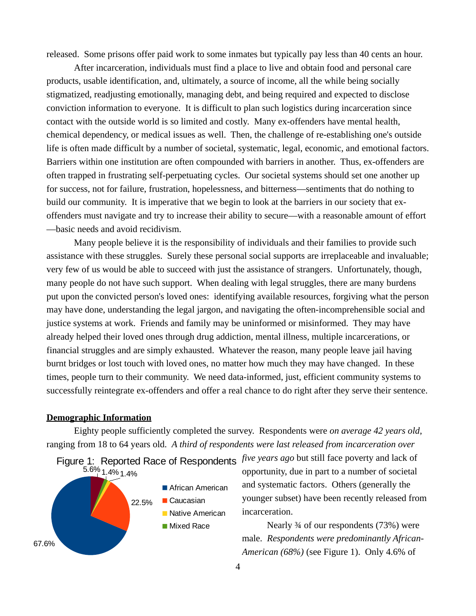released. Some prisons offer paid work to some inmates but typically pay less than 40 cents an hour.

After incarceration, individuals must find a place to live and obtain food and personal care products, usable identification, and, ultimately, a source of income, all the while being socially stigmatized, readjusting emotionally, managing debt, and being required and expected to disclose conviction information to everyone. It is difficult to plan such logistics during incarceration since contact with the outside world is so limited and costly. Many ex-offenders have mental health, chemical dependency, or medical issues as well. Then, the challenge of re-establishing one's outside life is often made difficult by a number of societal, systematic, legal, economic, and emotional factors. Barriers within one institution are often compounded with barriers in another. Thus, ex-offenders are often trapped in frustrating self-perpetuating cycles. Our societal systems should set one another up for success, not for failure, frustration, hopelessness, and bitterness—sentiments that do nothing to build our community. It is imperative that we begin to look at the barriers in our society that exoffenders must navigate and try to increase their ability to secure—with a reasonable amount of effort —basic needs and avoid recidivism.

Many people believe it is the responsibility of individuals and their families to provide such assistance with these struggles. Surely these personal social supports are irreplaceable and invaluable; very few of us would be able to succeed with just the assistance of strangers. Unfortunately, though, many people do not have such support. When dealing with legal struggles, there are many burdens put upon the convicted person's loved ones: identifying available resources, forgiving what the person may have done, understanding the legal jargon, and navigating the often-incomprehensible social and justice systems at work. Friends and family may be uninformed or misinformed. They may have already helped their loved ones through drug addiction, mental illness, multiple incarcerations, or financial struggles and are simply exhausted. Whatever the reason, many people leave jail having burnt bridges or lost touch with loved ones, no matter how much they may have changed. In these times, people turn to their community. We need data-informed, just, efficient community systems to successfully reintegrate ex-offenders and offer a real chance to do right after they serve their sentence.

#### **Demographic Information**

Eighty people sufficiently completed the survey. Respondents were *on average 42 years old*, ranging from 18 to 64 years old. *A third of respondents were last released from incarceration over* 



opportunity, due in part to a number of societal and systematic factors. Others (generally the younger subset) have been recently released from incarceration.

Nearly ¾ of our respondents (73%) were male. *Respondents were predominantly African-American (68%)* (see Figure 1). Only 4.6% of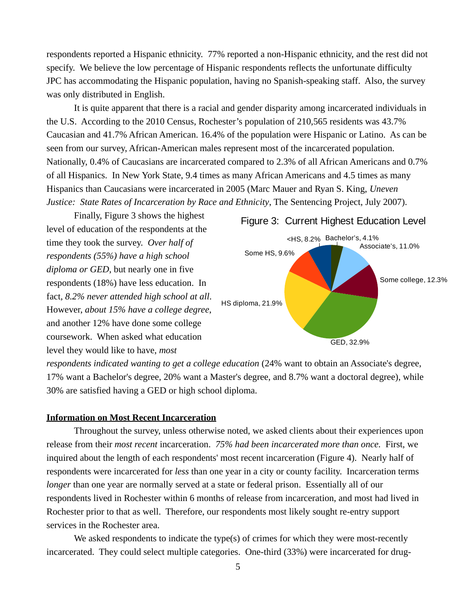respondents reported a Hispanic ethnicity. 77% reported a non-Hispanic ethnicity, and the rest did not specify. We believe the low percentage of Hispanic respondents reflects the unfortunate difficulty JPC has accommodating the Hispanic population, having no Spanish-speaking staff. Also, the survey was only distributed in English.

It is quite apparent that there is a racial and gender disparity among incarcerated individuals in the U.S. According to the 2010 Census, Rochester's population of 210,565 residents was 43.7% Caucasian and 41.7% African American. 16.4% of the population were Hispanic or Latino. As can be seen from our survey, African-American males represent most of the incarcerated population. Nationally, 0.4% of Caucasians are incarcerated compared to 2.3% of all African Americans and 0.7% of all Hispanics. In New York State, 9.4 times as many African Americans and 4.5 times as many Hispanics than Caucasians were incarcerated in 2005 (Marc Mauer and Ryan S. King, *Uneven Justice: State Rates of Incarceration by Race and Ethnicity*, The Sentencing Project, July 2007).

Finally, Figure 3 shows the highest level of education of the respondents at the time they took the survey. *Over half of respondents (55%) have a high school diploma or GED*, but nearly one in five respondents (18%) have less education. In fact, *8.2% never attended high school at all*. However, *about 15% have a college degree*, and another 12% have done some college coursework. When asked what education level they would like to have, *most*



*respondents indicated wanting to get a college education* (24% want to obtain an Associate's degree, 17% want a Bachelor's degree, 20% want a Master's degree, and 8.7% want a doctoral degree), while 30% are satisfied having a GED or high school diploma.

### **Information on Most Recent Incarceration**

Throughout the survey, unless otherwise noted, we asked clients about their experiences upon release from their *most recent* incarceration. *75% had been incarcerated more than once.* First, we inquired about the length of each respondents' most recent incarceration (Figure 4). Nearly half of respondents were incarcerated for *less* than one year in a city or county facility. Incarceration terms *longer* than one year are normally served at a state or federal prison. Essentially all of our respondents lived in Rochester within 6 months of release from incarceration, and most had lived in Rochester prior to that as well. Therefore, our respondents most likely sought re-entry support services in the Rochester area.

We asked respondents to indicate the type(s) of crimes for which they were most-recently incarcerated. They could select multiple categories. One-third (33%) were incarcerated for drug-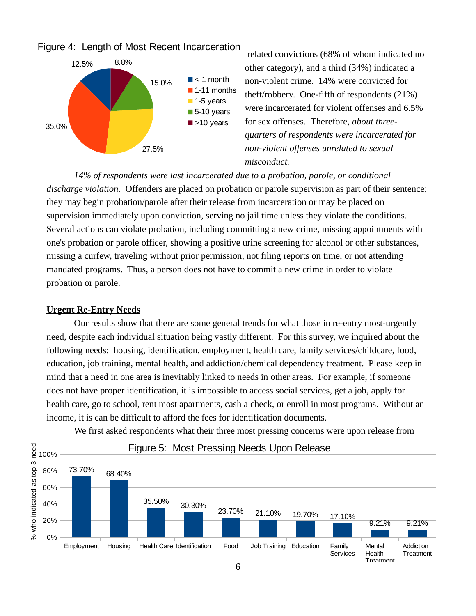

related convictions (68% of whom indicated no other category), and a third (34%) indicated a non-violent crime. 14% were convicted for theft/robbery. One-fifth of respondents (21%) were incarcerated for violent offenses and 6.5% for sex offenses. Therefore, *about threequarters of respondents were incarcerated for non-violent offenses unrelated to sexual misconduct.*

*14% of respondents were last incarcerated due to a probation, parole, or conditional discharge violation.* Offenders are placed on probation or parole supervision as part of their sentence; they may begin probation/parole after their release from incarceration or may be placed on supervision immediately upon conviction, serving no jail time unless they violate the conditions. Several actions can violate probation, including committing a new crime, missing appointments with one's probation or parole officer, showing a positive urine screening for alcohol or other substances, missing a curfew, traveling without prior permission, not filing reports on time, or not attending mandated programs. Thus, a person does not have to commit a new crime in order to violate probation or parole.

## **Urgent Re-Entry Needs**

Our results show that there are some general trends for what those in re-entry most-urgently need, despite each individual situation being vastly different. For this survey, we inquired about the following needs: housing, identification, employment, health care, family services/childcare, food, education, job training, mental health, and addiction/chemical dependency treatment. Please keep in mind that a need in one area is inevitably linked to needs in other areas. For example, if someone does not have proper identification, it is impossible to access social services, get a job, apply for health care, go to school, rent most apartments, cash a check, or enroll in most programs. Without an income, it is can be difficult to afford the fees for identification documents.

We first asked respondents what their three most pressing concerns were upon release from

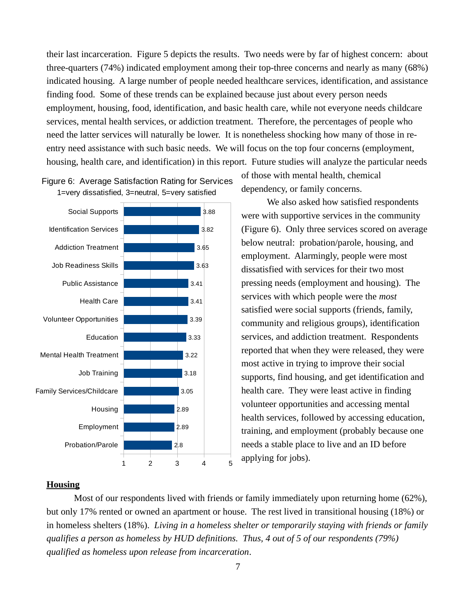their last incarceration. Figure 5 depicts the results. Two needs were by far of highest concern: about three-quarters (74%) indicated employment among their top-three concerns and nearly as many (68%) indicated housing. A large number of people needed healthcare services, identification, and assistance finding food. Some of these trends can be explained because just about every person needs employment, housing, food, identification, and basic health care, while not everyone needs childcare services, mental health services, or addiction treatment. Therefore, the percentages of people who need the latter services will naturally be lower. It is nonetheless shocking how many of those in reentry need assistance with such basic needs. We will focus on the top four concerns (employment, housing, health care, and identification) in this report. Future studies will analyze the particular needs



# Figure 6: Average Satisfaction Rating for Services 1=very dissatisfied, 3=neutral, 5=very satisfied

of those with mental health, chemical dependency, or family concerns.

We also asked how satisfied respondents were with supportive services in the community (Figure 6). Only three services scored on average below neutral: probation/parole, housing, and employment. Alarmingly, people were most dissatisfied with services for their two most pressing needs (employment and housing). The services with which people were the *most* satisfied were social supports (friends, family, community and religious groups), identification services, and addiction treatment. Respondents reported that when they were released, they were most active in trying to improve their social supports, find housing, and get identification and health care. They were least active in finding volunteer opportunities and accessing mental health services, followed by accessing education, training, and employment (probably because one needs a stable place to live and an ID before applying for jobs).

# **Housing**

Most of our respondents lived with friends or family immediately upon returning home (62%), but only 17% rented or owned an apartment or house. The rest lived in transitional housing (18%) or in homeless shelters (18%). *Living in a homeless shelter or temporarily staying with friends or family qualifies a person as homeless by HUD definitions. Thus, 4 out of 5 of our respondents (79%) qualified as homeless upon release from incarceration*.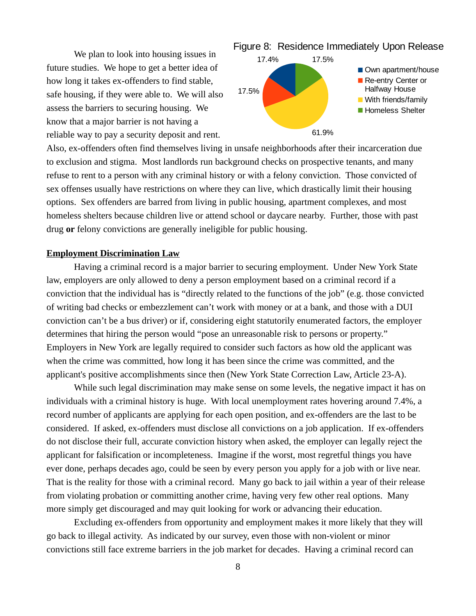We plan to look into housing issues in future studies. We hope to get a better idea of how long it takes ex-offenders to find stable, safe housing, if they were able to. We will also assess the barriers to securing housing. We know that a major barrier is not having a reliable way to pay a security deposit and rent.



Also, ex-offenders often find themselves living in unsafe neighborhoods after their incarceration due to exclusion and stigma. Most landlords run background checks on prospective tenants, and many refuse to rent to a person with any criminal history or with a felony conviction. Those convicted of sex offenses usually have restrictions on where they can live, which drastically limit their housing options. Sex offenders are barred from living in public housing, apartment complexes, and most homeless shelters because children live or attend school or daycare nearby. Further, those with past drug **or** felony convictions are generally ineligible for public housing.

#### **Employment Discrimination Law**

Having a criminal record is a major barrier to securing employment. Under New York State law, employers are only allowed to deny a person employment based on a criminal record if a conviction that the individual has is "directly related to the functions of the job" (e.g. those convicted of writing bad checks or embezzlement can't work with money or at a bank, and those with a DUI conviction can't be a bus driver) or if, considering eight statutorily enumerated factors, the employer determines that hiring the person would "pose an unreasonable risk to persons or property." Employers in New York are legally required to consider such factors as how old the applicant was when the crime was committed, how long it has been since the crime was committed, and the applicant's positive accomplishments since then (New York State Correction Law, Article 23-A).

While such legal discrimination may make sense on some levels, the negative impact it has on individuals with a criminal history is huge. With local unemployment rates hovering around 7.4%, a record number of applicants are applying for each open position, and ex-offenders are the last to be considered. If asked, ex-offenders must disclose all convictions on a job application. If ex-offenders do not disclose their full, accurate conviction history when asked, the employer can legally reject the applicant for falsification or incompleteness. Imagine if the worst, most regretful things you have ever done, perhaps decades ago, could be seen by every person you apply for a job with or live near. That is the reality for those with a criminal record. Many go back to jail within a year of their release from violating probation or committing another crime, having very few other real options. Many more simply get discouraged and may quit looking for work or advancing their education.

Excluding ex-offenders from opportunity and employment makes it more likely that they will go back to illegal activity. As indicated by our survey, even those with non-violent or minor convictions still face extreme barriers in the job market for decades. Having a criminal record can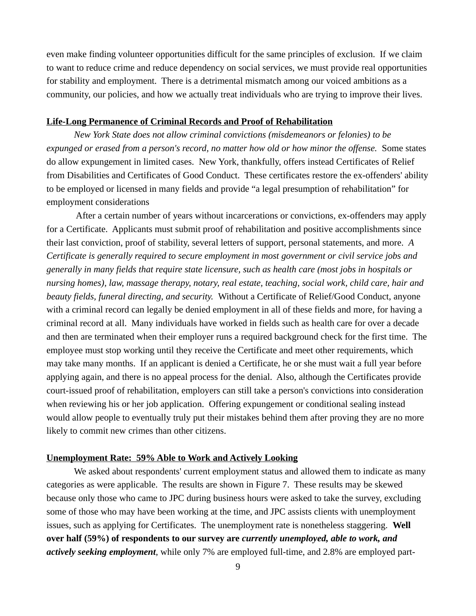even make finding volunteer opportunities difficult for the same principles of exclusion. If we claim to want to reduce crime and reduce dependency on social services, we must provide real opportunities for stability and employment. There is a detrimental mismatch among our voiced ambitions as a community, our policies, and how we actually treat individuals who are trying to improve their lives.

#### **Life-Long Permanence of Criminal Records and Proof of Rehabilitation**

*New York State does not allow criminal convictions (misdemeanors or felonies) to be expunged or erased from a person's record, no matter how old or how minor the offense.* Some states do allow expungement in limited cases. New York, thankfully, offers instead Certificates of Relief from Disabilities and Certificates of Good Conduct. These certificates restore the ex-offenders' ability to be employed or licensed in many fields and provide "a legal presumption of rehabilitation" for employment considerations

 After a certain number of years without incarcerations or convictions, ex-offenders may apply for a Certificate. Applicants must submit proof of rehabilitation and positive accomplishments since their last conviction, proof of stability, several letters of support, personal statements, and more. *A Certificate is generally required to secure employment in most government or civil service jobs and generally in many fields that require state licensure, such as health care (most jobs in hospitals or nursing homes), law, massage therapy, notary, real estate, teaching, social work, child care, hair and beauty fields, funeral directing, and security.* Without a Certificate of Relief/Good Conduct, anyone with a criminal record can legally be denied employment in all of these fields and more, for having a criminal record at all. Many individuals have worked in fields such as health care for over a decade and then are terminated when their employer runs a required background check for the first time. The employee must stop working until they receive the Certificate and meet other requirements, which may take many months. If an applicant is denied a Certificate, he or she must wait a full year before applying again, and there is no appeal process for the denial. Also, although the Certificates provide court-issued proof of rehabilitation, employers can still take a person's convictions into consideration when reviewing his or her job application. Offering expungement or conditional sealing instead would allow people to eventually truly put their mistakes behind them after proving they are no more likely to commit new crimes than other citizens.

### **Unemployment Rate: 59% Able to Work and Actively Looking**

We asked about respondents' current employment status and allowed them to indicate as many categories as were applicable. The results are shown in Figure 7. These results may be skewed because only those who came to JPC during business hours were asked to take the survey, excluding some of those who may have been working at the time, and JPC assists clients with unemployment issues, such as applying for Certificates. The unemployment rate is nonetheless staggering. **Well over half (59%) of respondents to our survey are** *currently unemployed, able to work, and actively seeking employment*, while only 7% are employed full-time, and 2.8% are employed part-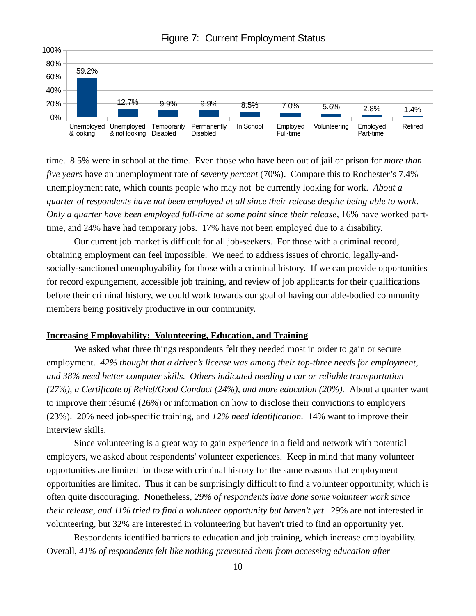

Figure 7: Current Employment Status

time. 8.5% were in school at the time. Even those who have been out of jail or prison for *more than five years* have an unemployment rate of *seventy percent* (70%). Compare this to Rochester's 7.4% unemployment rate, which counts people who may not be currently looking for work. *About a quarter of respondents have not been employed at all since their release despite being able to work*. *Only a quarter have been employed full-time at some point since their release*, 16% have worked parttime, and 24% have had temporary jobs. 17% have not been employed due to a disability.

Our current job market is difficult for all job-seekers. For those with a criminal record, obtaining employment can feel impossible. We need to address issues of chronic, legally-andsocially-sanctioned unemployability for those with a criminal history. If we can provide opportunities for record expungement, accessible job training, and review of job applicants for their qualifications before their criminal history, we could work towards our goal of having our able-bodied community members being positively productive in our community.

## **Increasing Employability: Volunteering, Education, and Training**

We asked what three things respondents felt they needed most in order to gain or secure employment. *42% thought that a driver's license was among their top-three needs for employment, and 38% need better computer skills. Others indicated needing a car or reliable transportation (27%), a Certificate of Relief/Good Conduct (24%), and more education (20%).* About a quarter want to improve their résumé (26%) or information on how to disclose their convictions to employers (23%). 20% need job-specific training, and *12% need identification.* 14% want to improve their interview skills.

Since volunteering is a great way to gain experience in a field and network with potential employers, we asked about respondents' volunteer experiences. Keep in mind that many volunteer opportunities are limited for those with criminal history for the same reasons that employment opportunities are limited. Thus it can be surprisingly difficult to find a volunteer opportunity, which is often quite discouraging. Nonetheless, *29% of respondents have done some volunteer work since their release, and 11% tried to find a volunteer opportunity but haven't yet*. 29% are not interested in volunteering, but 32% are interested in volunteering but haven't tried to find an opportunity yet.

Respondents identified barriers to education and job training, which increase employability. Overall, *41% of respondents felt like nothing prevented them from accessing education after*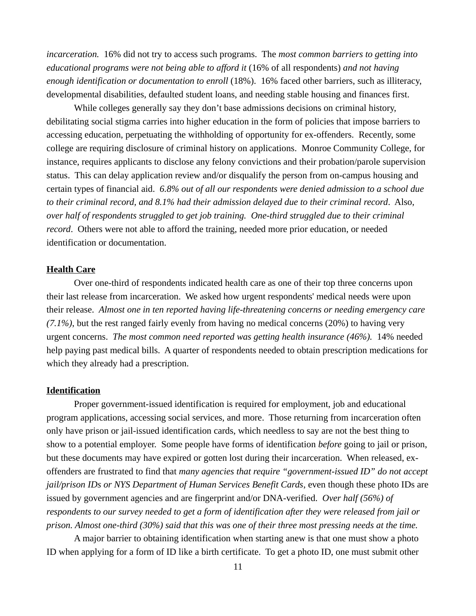*incarceration.* 16% did not try to access such programs. The *most common barriers to getting into educational programs were not being able to afford it* (16% of all respondents) *and not having enough identification or documentation to enroll* (18%). 16% faced other barriers, such as illiteracy, developmental disabilities, defaulted student loans, and needing stable housing and finances first.

While colleges generally say they don't base admissions decisions on criminal history, debilitating social stigma carries into higher education in the form of policies that impose barriers to accessing education, perpetuating the withholding of opportunity for ex-offenders. Recently, some college are requiring disclosure of criminal history on applications. Monroe Community College, for instance, requires applicants to disclose any felony convictions and their probation/parole supervision status. This can delay application review and/or disqualify the person from on-campus housing and certain types of financial aid. *6.8% out of all our respondents were denied admission to a school due to their criminal record, and 8.1% had their admission delayed due to their criminal record*. Also, *over half of respondents struggled to get job training. One-third struggled due to their criminal record*. Others were not able to afford the training, needed more prior education, or needed identification or documentation.

## **Health Care**

Over one-third of respondents indicated health care as one of their top three concerns upon their last release from incarceration. We asked how urgent respondents' medical needs were upon their release. *Almost one in ten reported having life-threatening concerns or needing emergency care (7.1%)*, but the rest ranged fairly evenly from having no medical concerns (20%) to having very urgent concerns. *The most common need reported was getting health insurance (46%).* 14% needed help paying past medical bills. A quarter of respondents needed to obtain prescription medications for which they already had a prescription.

#### **Identification**

Proper government-issued identification is required for employment, job and educational program applications, accessing social services, and more. Those returning from incarceration often only have prison or jail-issued identification cards, which needless to say are not the best thing to show to a potential employer. Some people have forms of identification *before* going to jail or prison, but these documents may have expired or gotten lost during their incarceration. When released, exoffenders are frustrated to find that *many agencies that require "government-issued ID" do not accept jail/prison IDs or NYS Department of Human Services Benefit Cards*, even though these photo IDs are issued by government agencies and are fingerprint and/or DNA-verified. *Over half (56%) of respondents to our survey needed to get a form of identification after they were released from jail or prison. Almost one-third (30%) said that this was one of their three most pressing needs at the time.*

A major barrier to obtaining identification when starting anew is that one must show a photo ID when applying for a form of ID like a birth certificate. To get a photo ID, one must submit other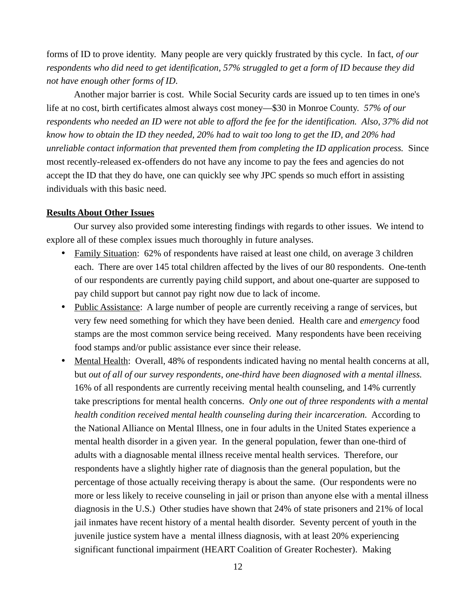forms of ID to prove identity. Many people are very quickly frustrated by this cycle. In fact, *of our respondents who did need to get identification, 57% struggled to get a form of ID because they did not have enough other forms of ID*.

Another major barrier is cost. While Social Security cards are issued up to ten times in one's life at no cost, birth certificates almost always cost money—\$30 in Monroe County. *57% of our respondents who needed an ID were not able to afford the fee for the identification. Also, 37% did not know how to obtain the ID they needed, 20% had to wait too long to get the ID, and 20% had unreliable contact information that prevented them from completing the ID application process.* Since most recently-released ex-offenders do not have any income to pay the fees and agencies do not accept the ID that they do have, one can quickly see why JPC spends so much effort in assisting individuals with this basic need.

#### **Results About Other Issues**

Our survey also provided some interesting findings with regards to other issues. We intend to explore all of these complex issues much thoroughly in future analyses.

- Family Situation: 62% of respondents have raised at least one child, on average 3 children each. There are over 145 total children affected by the lives of our 80 respondents. One-tenth of our respondents are currently paying child support, and about one-quarter are supposed to pay child support but cannot pay right now due to lack of income.
- Public Assistance: A large number of people are currently receiving a range of services, but very few need something for which they have been denied. Health care and *emergency* food stamps are the most common service being received. Many respondents have been receiving food stamps and/or public assistance ever since their release.
- Mental Health: Overall, 48% of respondents indicated having no mental health concerns at all, but *out of all of our survey respondents*, *one-third have been diagnosed with a mental illness.*  16% of all respondents are currently receiving mental health counseling, and 14% currently take prescriptions for mental health concerns. *Only one out of three respondents with a mental health condition received mental health counseling during their incarceration.* According to the National Alliance on Mental Illness, one in four adults in the United States experience a mental health disorder in a given year. In the general population, fewer than one-third of adults with a diagnosable mental illness receive mental health services. Therefore, our respondents have a slightly higher rate of diagnosis than the general population, but the percentage of those actually receiving therapy is about the same. (Our respondents were no more or less likely to receive counseling in jail or prison than anyone else with a mental illness diagnosis in the U.S.) Other studies have shown that 24% of state prisoners and 21% of local jail inmates have recent history of a mental health disorder. Seventy percent of youth in the juvenile justice system have a mental illness diagnosis, with at least 20% experiencing significant functional impairment (HEART Coalition of Greater Rochester). Making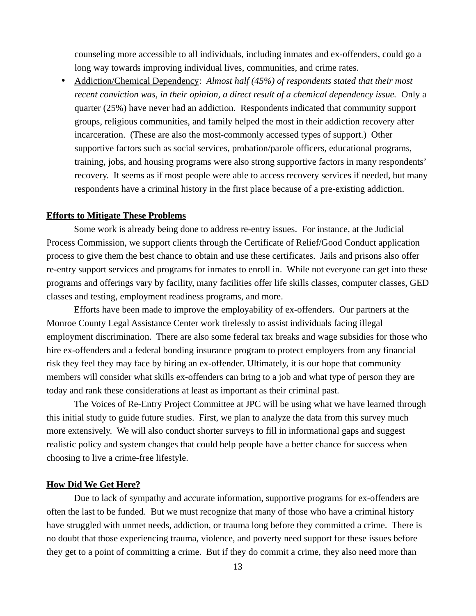counseling more accessible to all individuals, including inmates and ex-offenders, could go a long way towards improving individual lives, communities, and crime rates.

• Addiction/Chemical Dependency: *Almost half (45%) of respondents stated that their most recent conviction was, in their opinion, a direct result of a chemical dependency issue.* Only a quarter (25%) have never had an addiction. Respondents indicated that community support groups, religious communities, and family helped the most in their addiction recovery after incarceration. (These are also the most-commonly accessed types of support.) Other supportive factors such as social services, probation/parole officers, educational programs, training, jobs, and housing programs were also strong supportive factors in many respondents' recovery. It seems as if most people were able to access recovery services if needed, but many respondents have a criminal history in the first place because of a pre-existing addiction.

#### **Efforts to Mitigate These Problems**

Some work is already being done to address re-entry issues. For instance, at the Judicial Process Commission, we support clients through the Certificate of Relief/Good Conduct application process to give them the best chance to obtain and use these certificates. Jails and prisons also offer re-entry support services and programs for inmates to enroll in. While not everyone can get into these programs and offerings vary by facility, many facilities offer life skills classes, computer classes, GED classes and testing, employment readiness programs, and more.

Efforts have been made to improve the employability of ex-offenders. Our partners at the Monroe County Legal Assistance Center work tirelessly to assist individuals facing illegal employment discrimination. There are also some federal tax breaks and wage subsidies for those who hire ex-offenders and a federal bonding insurance program to protect employers from any financial risk they feel they may face by hiring an ex-offender. Ultimately, it is our hope that community members will consider what skills ex-offenders can bring to a job and what type of person they are today and rank these considerations at least as important as their criminal past.

The Voices of Re-Entry Project Committee at JPC will be using what we have learned through this initial study to guide future studies. First, we plan to analyze the data from this survey much more extensively. We will also conduct shorter surveys to fill in informational gaps and suggest realistic policy and system changes that could help people have a better chance for success when choosing to live a crime-free lifestyle.

#### **How Did We Get Here?**

Due to lack of sympathy and accurate information, supportive programs for ex-offenders are often the last to be funded. But we must recognize that many of those who have a criminal history have struggled with unmet needs, addiction, or trauma long before they committed a crime. There is no doubt that those experiencing trauma, violence, and poverty need support for these issues before they get to a point of committing a crime. But if they do commit a crime, they also need more than